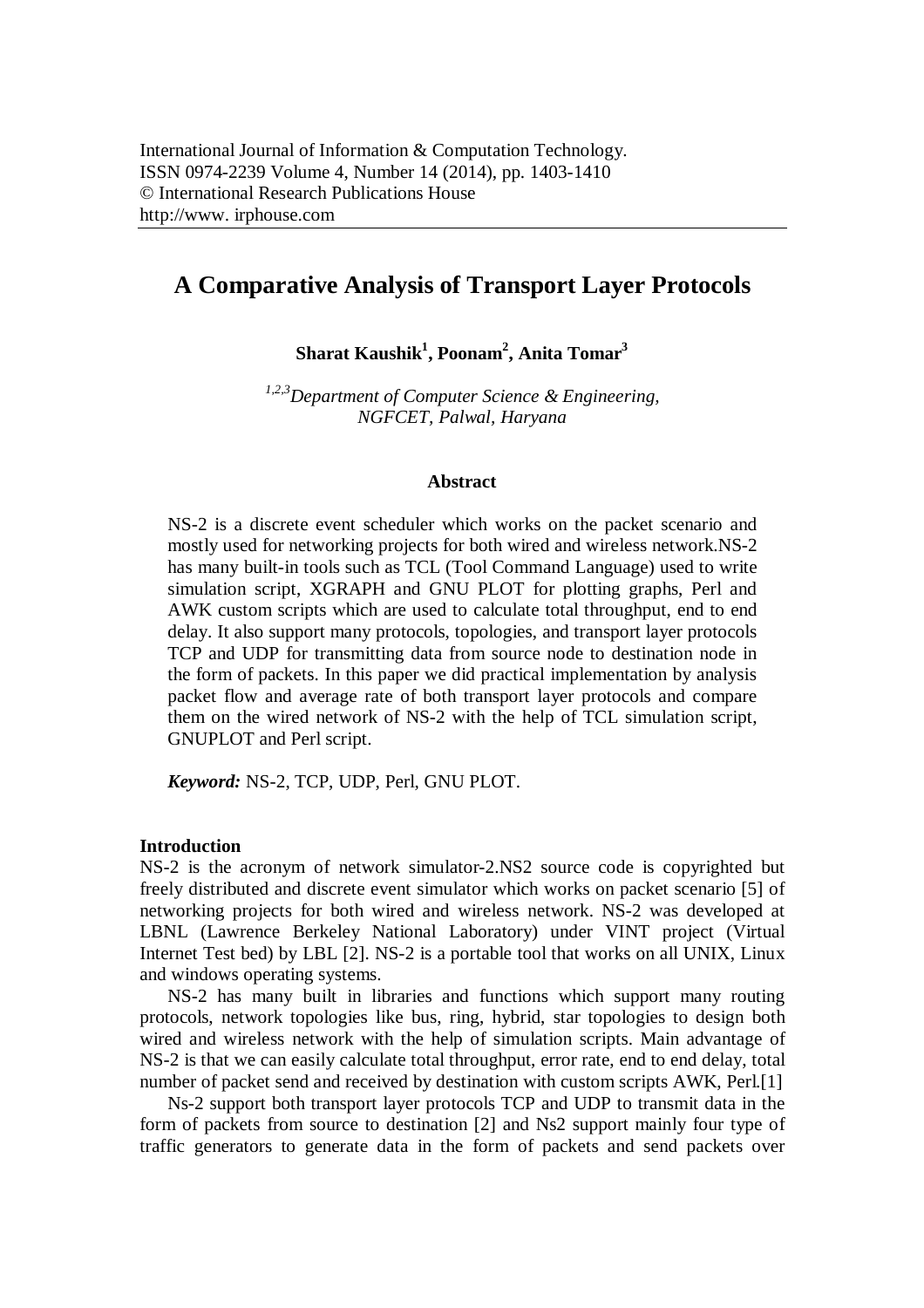# **A Comparative Analysis of Transport Layer Protocols**

**Sharat Kaushik<sup>1</sup> , Poonam<sup>2</sup> , Anita Tomar<sup>3</sup>**

*1,2,3Department of Computer Science & Engineering, NGFCET, Palwal, Haryana*

## **Abstract**

NS-2 is a discrete event scheduler which works on the packet scenario and mostly used for networking projects for both wired and wireless network.NS-2 has many built-in tools such as TCL (Tool Command Language) used to write simulation script, XGRAPH and GNU PLOT for plotting graphs, Perl and AWK custom scripts which are used to calculate total throughput, end to end delay. It also support many protocols, topologies, and transport layer protocols TCP and UDP for transmitting data from source node to destination node in the form of packets. In this paper we did practical implementation by analysis packet flow and average rate of both transport layer protocols and compare them on the wired network of NS-2 with the help of TCL simulation script, GNUPLOT and Perl script.

*Keyword:* NS-2, TCP, UDP, Perl, GNU PLOT.

# **Introduction**

NS-2 is the acronym of network simulator-2.NS2 source code is copyrighted but freely distributed and discrete event simulator which works on packet scenario [5] of networking projects for both wired and wireless network. NS-2 was developed at LBNL (Lawrence Berkeley National Laboratory) under VINT project (Virtual Internet Test bed) by LBL [2]. NS-2 is a portable tool that works on all UNIX, Linux and windows operating systems.

NS-2 has many built in libraries and functions which support many routing protocols, network topologies like bus, ring, hybrid, star topologies to design both wired and wireless network with the help of simulation scripts. Main advantage of NS-2 is that we can easily calculate total throughput, error rate, end to end delay, total number of packet send and received by destination with custom scripts AWK, Perl.<sup>[1]</sup>

Ns-2 support both transport layer protocols TCP and UDP to transmit data in the form of packets from source to destination [2] and Ns2 support mainly four type of traffic generators to generate data in the form of packets and send packets over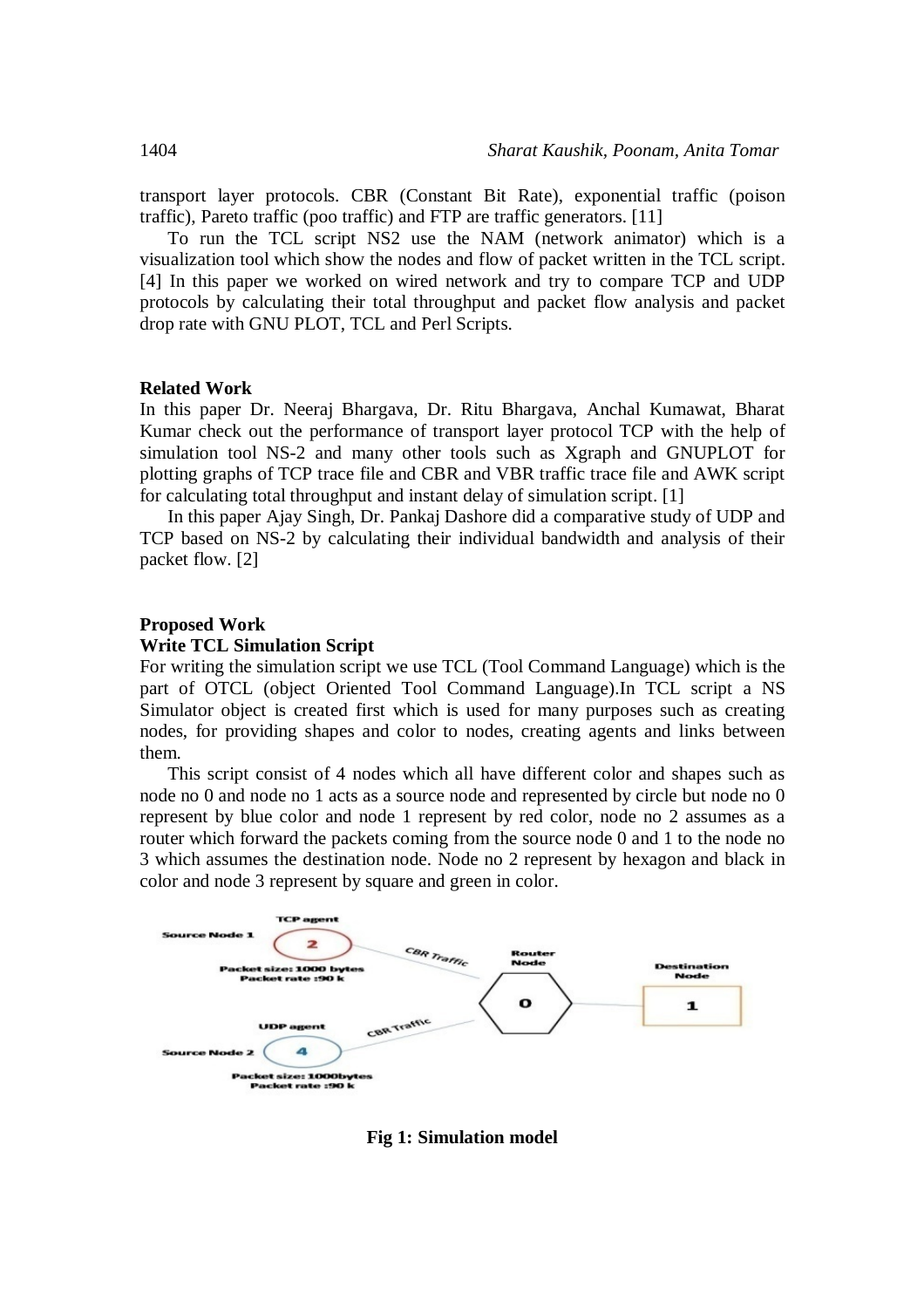transport layer protocols. CBR (Constant Bit Rate), exponential traffic (poison traffic), Pareto traffic (poo traffic) and FTP are traffic generators. [11]

To run the TCL script NS2 use the NAM (network animator) which is a visualization tool which show the nodes and flow of packet written in the TCL script. [4] In this paper we worked on wired network and try to compare TCP and UDP protocols by calculating their total throughput and packet flow analysis and packet drop rate with GNU PLOT, TCL and Perl Scripts.

# **Related Work**

In this paper Dr. Neeraj Bhargava, Dr. Ritu Bhargava, Anchal Kumawat, Bharat Kumar check out the performance of transport layer protocol TCP with the help of simulation tool NS-2 and many other tools such as Xgraph and GNUPLOT for plotting graphs of TCP trace file and CBR and VBR traffic trace file and AWK script for calculating total throughput and instant delay of simulation script. [1]

In this paper Ajay Singh, Dr. Pankaj Dashore did a comparative study of UDP and TCP based on NS-2 by calculating their individual bandwidth and analysis of their packet flow. [2]

### **Proposed Work**

#### **Write TCL Simulation Script**

For writing the simulation script we use TCL (Tool Command Language) which is the part of OTCL (object Oriented Tool Command Language).In TCL script a NS Simulator object is created first which is used for many purposes such as creating nodes, for providing shapes and color to nodes, creating agents and links between them.

This script consist of 4 nodes which all have different color and shapes such as node no 0 and node no 1 acts as a source node and represented by circle but node no 0 represent by blue color and node 1 represent by red color, node no 2 assumes as a router which forward the packets coming from the source node 0 and 1 to the node no 3 which assumes the destination node. Node no 2 represent by hexagon and black in color and node 3 represent by square and green in color.



**Fig 1: Simulation model**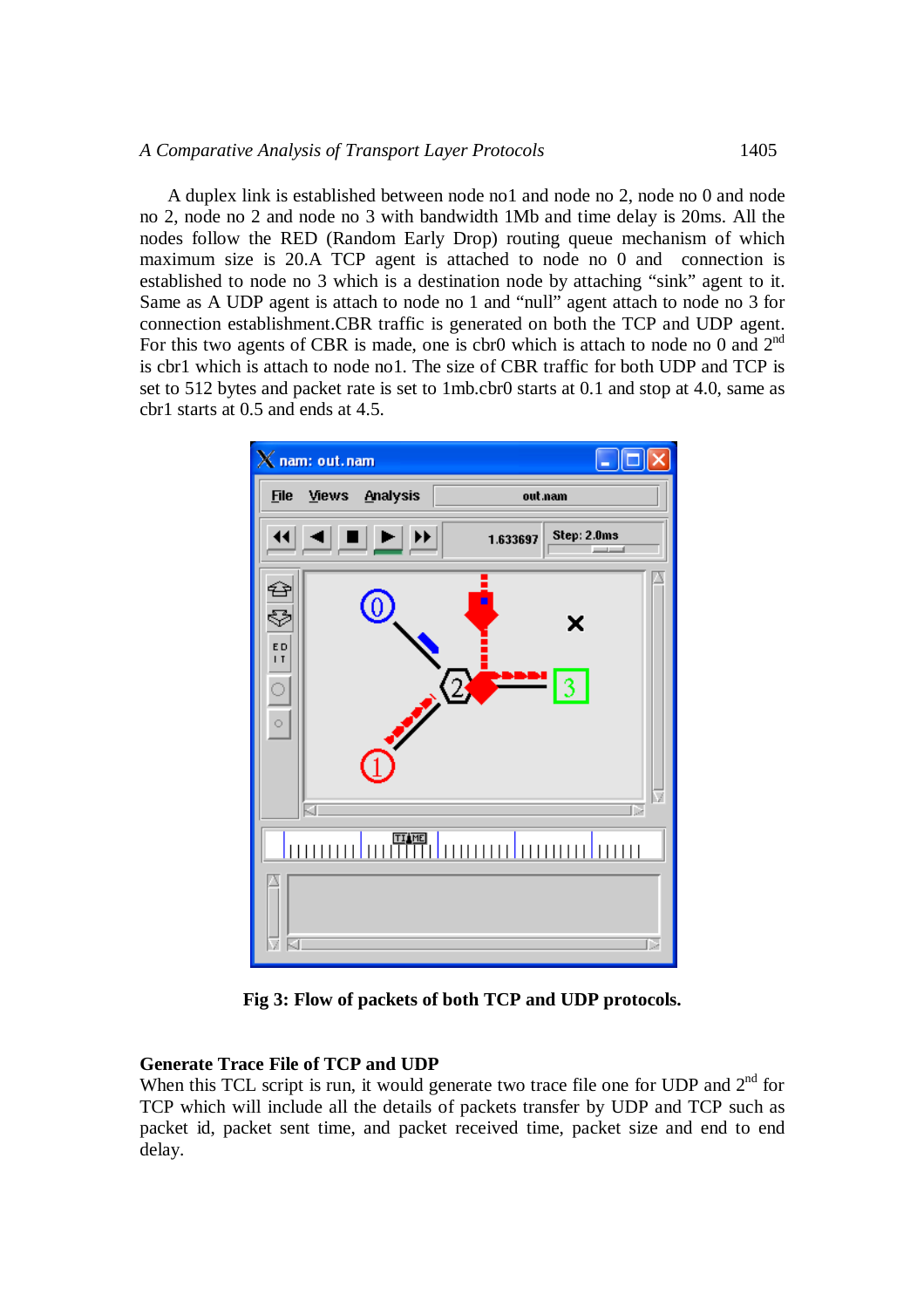A duplex link is established between node no1 and node no 2, node no 0 and node no 2, node no 2 and node no 3 with bandwidth 1Mb and time delay is 20ms. All the nodes follow the RED (Random Early Drop) routing queue mechanism of which maximum size is 20.A TCP agent is attached to node no 0 and connection is established to node no 3 which is a destination node by attaching "sink" agent to it. Same as A UDP agent is attach to node no 1 and "null" agent attach to node no 3 for connection establishment.CBR traffic is generated on both the TCP and UDP agent. For this two agents of CBR is made, one is cbr0 which is attach to node no 0 and  $2<sup>nd</sup>$ is cbr1 which is attach to node no1. The size of CBR traffic for both UDP and TCP is set to 512 bytes and packet rate is set to 1mb.cbr0 starts at 0.1 and stop at 4.0, same as cbr1 starts at 0.5 and ends at 4.5.



**Fig 3: Flow of packets of both TCP and UDP protocols.**

# **Generate Trace File of TCP and UDP**

When this TCL script is run, it would generate two trace file one for UDP and  $2<sup>nd</sup>$  for TCP which will include all the details of packets transfer by UDP and TCP such as packet id, packet sent time, and packet received time, packet size and end to end delay.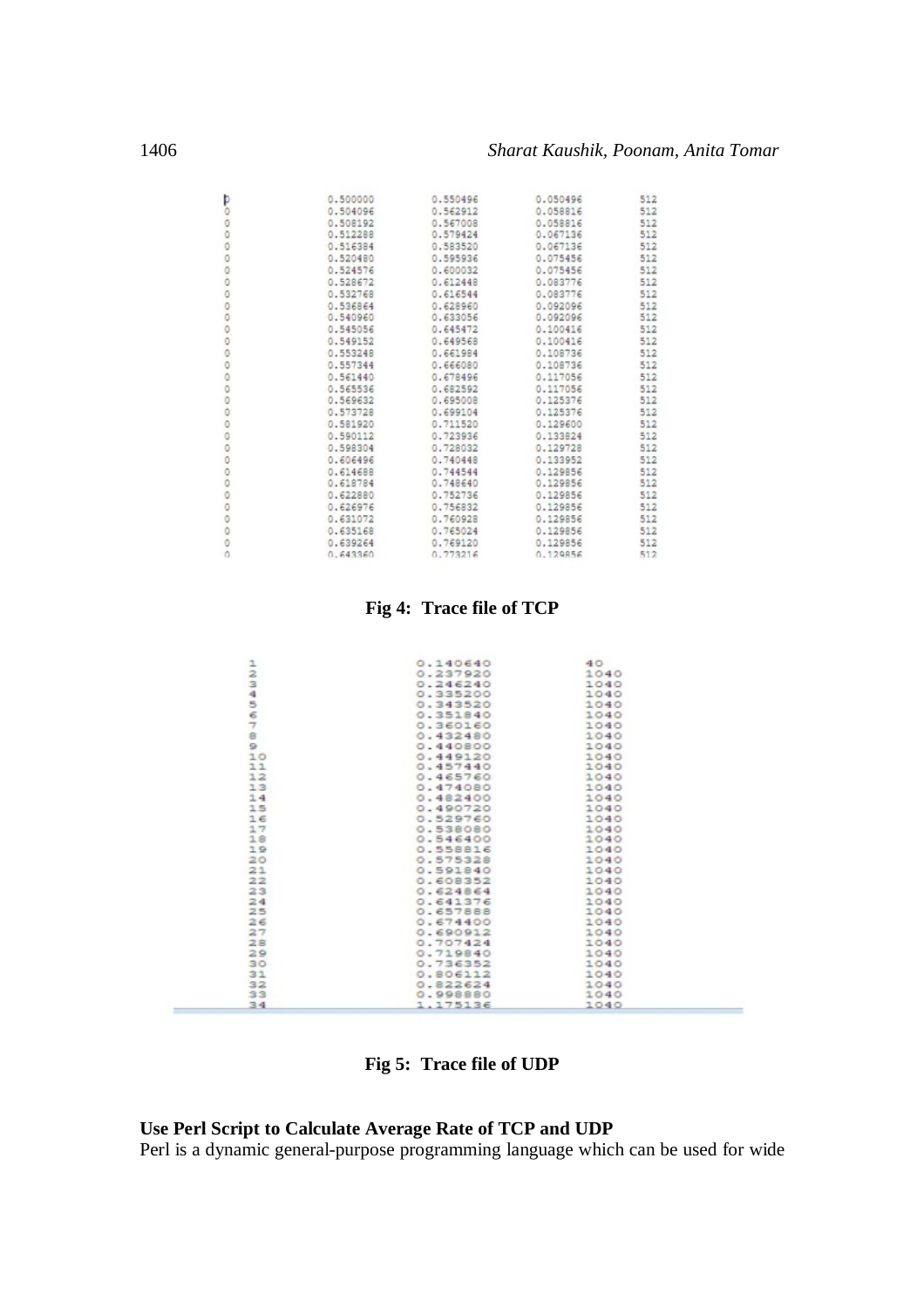| 0.500000 | 0.550496 | 0.050496 | 512 |
|----------|----------|----------|-----|
| 0.504096 | 0.562912 | 0.058816 | 512 |
| 0.508192 | 0.567008 | 0.058816 | 512 |
| 0.512288 | 0.579424 | 0.067136 | 512 |
| 0.516384 | 0.583520 | 0.067136 | 512 |
| 0.520480 | 0.595936 | 0.075456 | 512 |
| 0.524576 | 0.600032 | 0.075456 | 512 |
| 0.528672 | 0.612448 | 0.083776 | 512 |
| 0.532768 | 0.616544 | 0.083776 | 512 |
| 0.536864 | 0.628960 | 0.092096 | 512 |
| 0.540960 | 0.633056 | 0.092096 | 512 |
| 0.545056 | 0.645472 | 0.100416 | 512 |
| 0.549152 | 0.649568 | 0.100416 | 512 |
| 0.553248 | 0.661984 | 0.108736 | 512 |
| 0.557344 | 0.666080 | 0.108736 | 512 |
| 0.561440 | 0.678496 | 0.117056 | 512 |
| 0.565536 | 0.682592 | 0.117056 | 512 |
| 0.569632 | 0.695008 | 0.125376 | 512 |
| 0.573728 | 0.699104 | 0.125376 | 512 |
| 0.581920 | 0.711520 | 0.129600 | 512 |
| 0.590112 | 0.723936 | 0.133824 | 512 |
| 0.598304 | 0.728032 | 0.129728 | 512 |
| 0.606496 | 0.740448 | 0.133952 | 512 |
| 0.614688 | 0.744544 | 0.129856 | 512 |
| 0.618784 | 0.748640 | 0.129856 | 512 |
| 0.622880 | 0.752736 | 0.129856 | 512 |
| 0.626976 | 0.756832 | 0.129856 | 512 |
| 0.631072 | 0.760928 | 0.129856 | 512 |
| 0.635168 | 0.765024 | 0.129856 | 512 |
| 0.639264 | 0.769120 | 0.129856 | 512 |
| 0.643360 | 0.773216 | 0.129856 | 512 |

# **Fig 4: Trace file of TCP**

|               | 0.140640 | 40   |  |
|---------------|----------|------|--|
| $\frac{1}{2}$ | 0.237920 | 1040 |  |
|               | 0.246240 | 1040 |  |
|               | 0.335200 | 1040 |  |
|               | 0.343520 | 1040 |  |
|               | 0.351840 | 1040 |  |
| $34544$       | 0.360160 | 1040 |  |
|               | 0.432480 | 1040 |  |
| $\Omega$      | 0.440800 | 1040 |  |
| 10            | 0.449120 | 1040 |  |
| 11            | 0.457440 | 1040 |  |
| 12            | 0.465760 | 1040 |  |
| 13            | 0.474080 | 1040 |  |
| 14            | 0.482400 | 1040 |  |
| 15            | 0.490720 | 1040 |  |
| 16            | 0.529760 | 1040 |  |
| 17            | 0.538080 | 1040 |  |
| 18            | 0.546400 | 1040 |  |
| 19            | 0.558816 | 1040 |  |
| 20            | 0.575328 | 1040 |  |
| 21            | 0.591840 | 1040 |  |
| 22            | 0.608352 | 1040 |  |
| 23            | 0.624864 | 1040 |  |
| 24            | 0.641376 | 1040 |  |
| 25            | 0.657888 | 1040 |  |
| 26            | 0.674400 | 1040 |  |
| 27            | 0.690912 | 1040 |  |
| 28            | 0.707424 | 1040 |  |
| 29            | 0.719840 | 1040 |  |
| 30            | 0.736352 | 1040 |  |
| 31            | 0.806112 | 1040 |  |
| 32            | 0.822624 | 1040 |  |
| 33            | 0.998880 | 1040 |  |
| 34            | 1.175136 | 1040 |  |

**Fig 5: Trace file of UDP**

## **Use Perl Script to Calculate Average Rate of TCP and UDP**

Perl is a dynamic general-purpose programming language which can be used for wide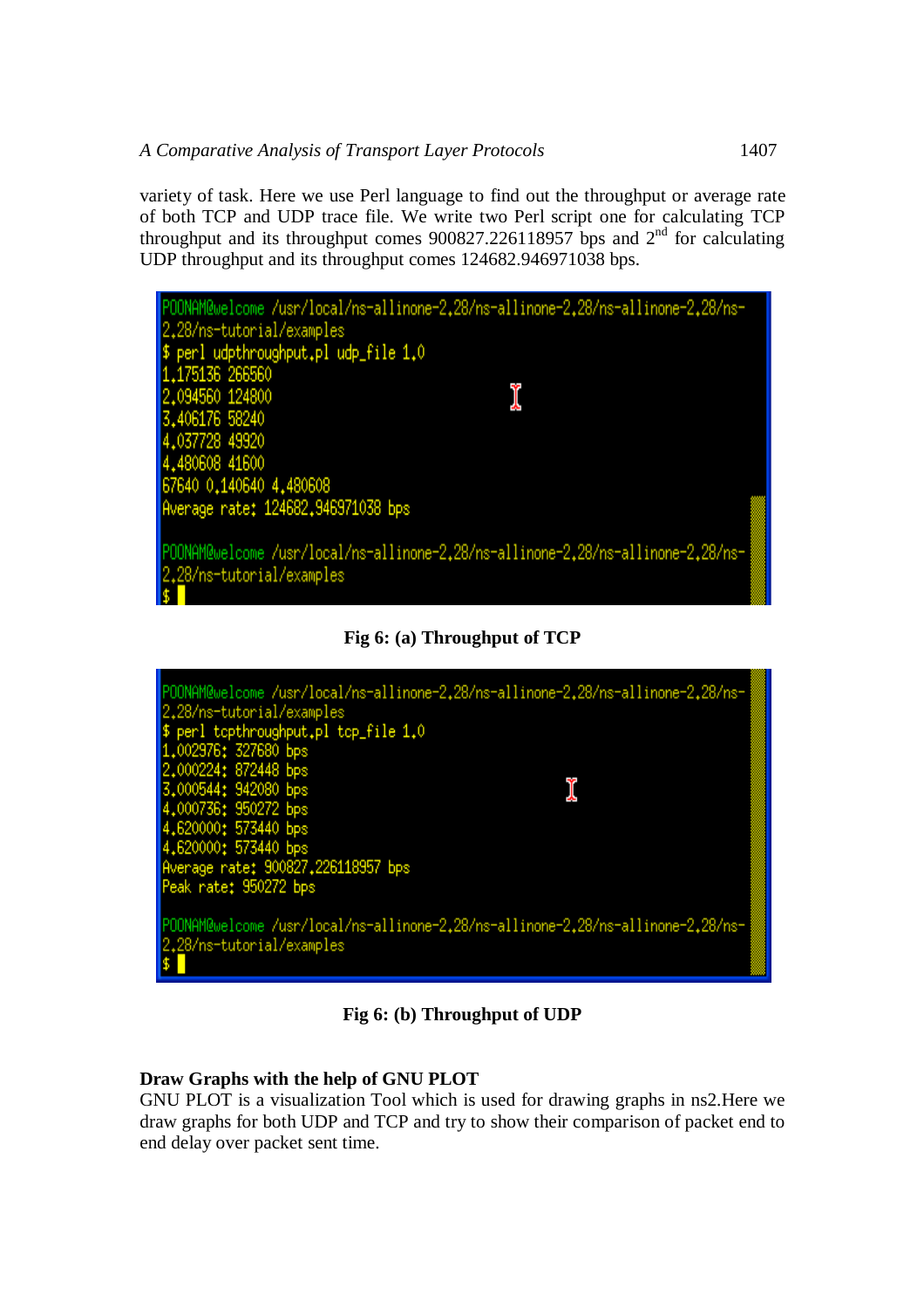variety of task. Here we use Perl language to find out the throughput or average rate of both TCP and UDP trace file. We write two Perl script one for calculating TCP throughput and its throughput comes  $900827.226118957$  bps and  $2<sup>nd</sup>$  for calculating UDP throughput and its throughput comes 124682.946971038 bps.



**Fig 6: (a) Throughput of TCP**



**Fig 6: (b) Throughput of UDP**

# **Draw Graphs with the help of GNU PLOT**

GNU PLOT is a visualization Tool which is used for drawing graphs in ns2.Here we draw graphs for both UDP and TCP and try to show their comparison of packet end to end delay over packet sent time.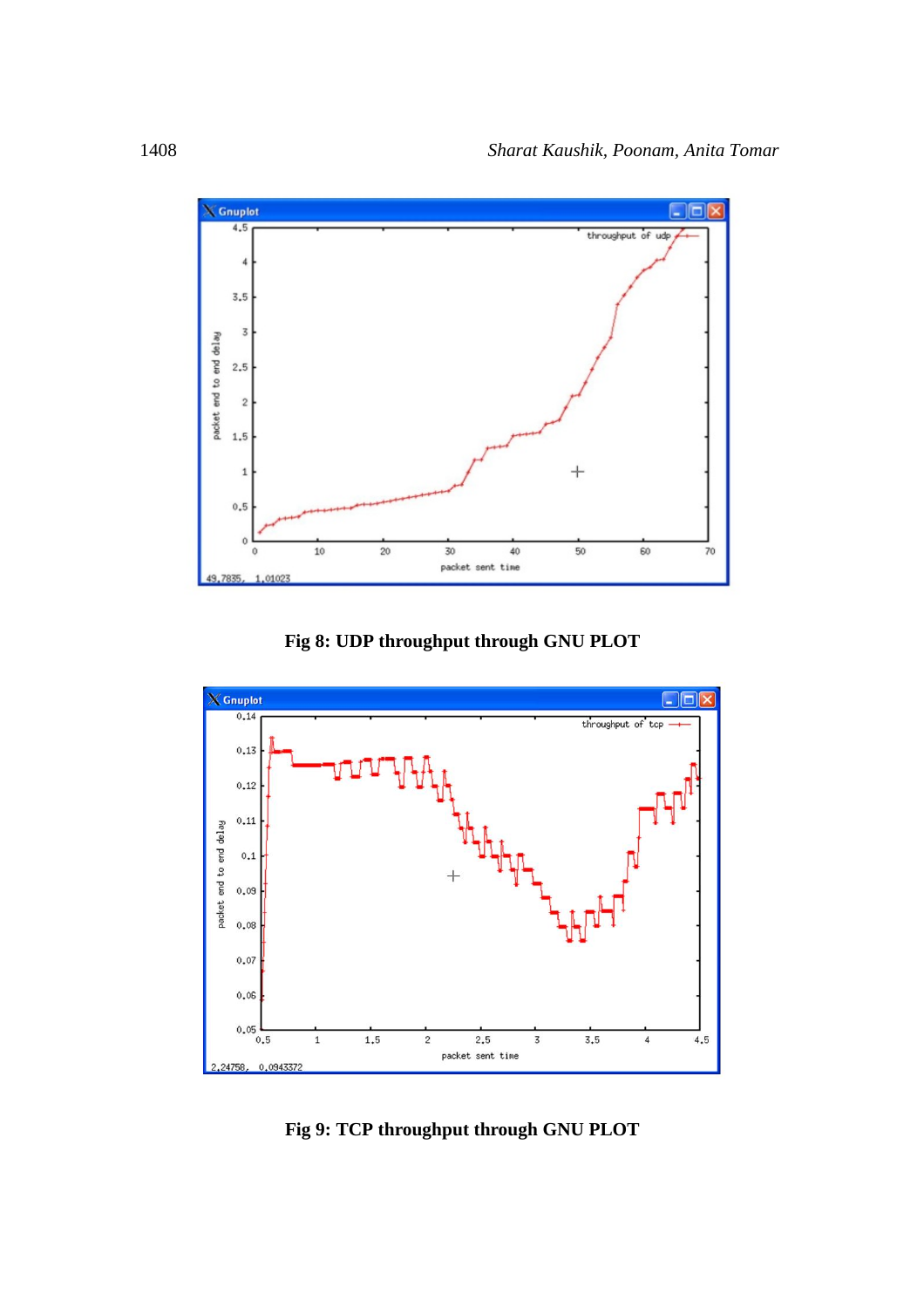





**Fig 9: TCP throughput through GNU PLOT**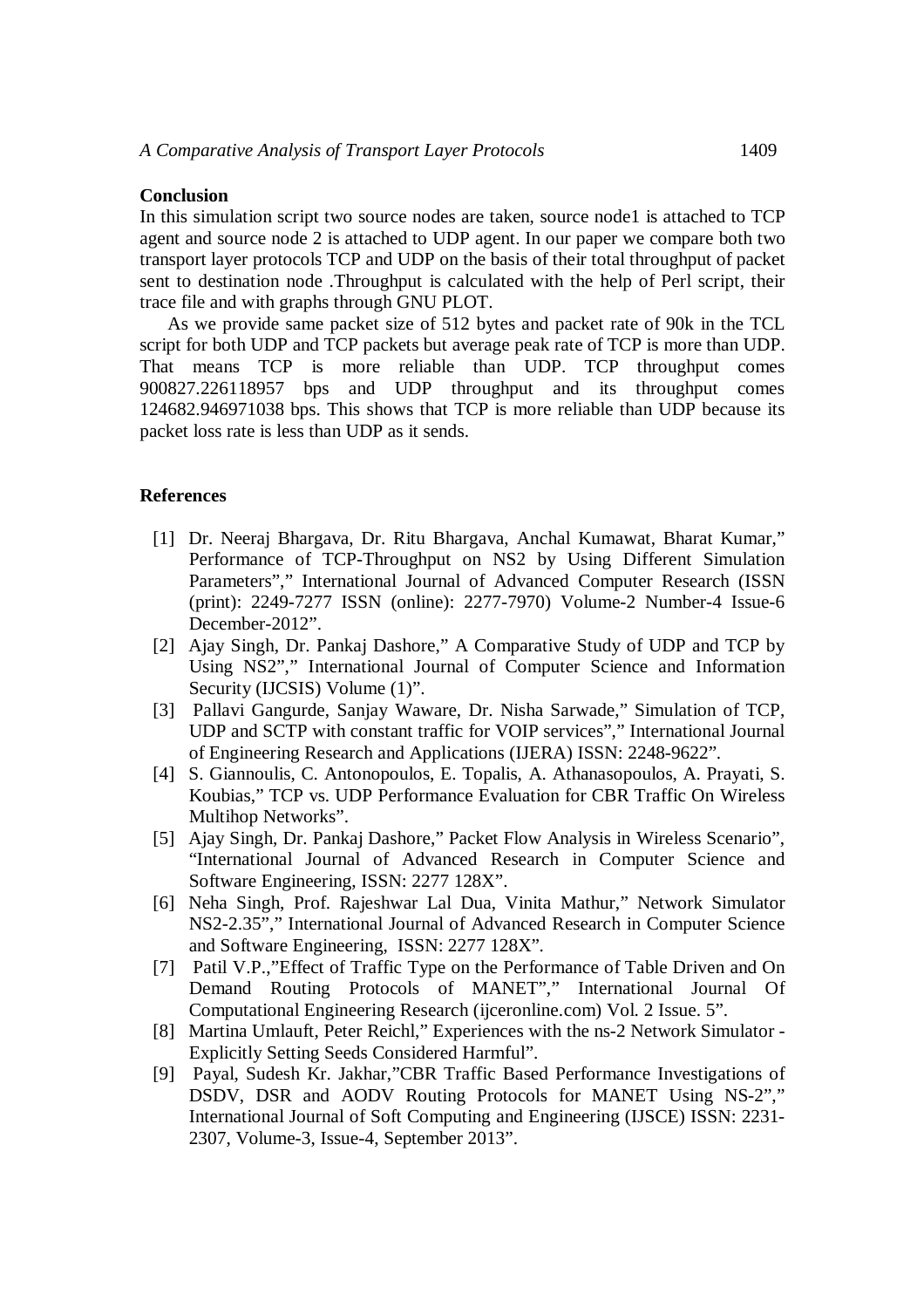# **Conclusion**

In this simulation script two source nodes are taken, source node1 is attached to TCP agent and source node 2 is attached to UDP agent. In our paper we compare both two transport layer protocols TCP and UDP on the basis of their total throughput of packet sent to destination node .Throughput is calculated with the help of Perl script, their trace file and with graphs through GNU PLOT.

As we provide same packet size of 512 bytes and packet rate of 90k in the TCL script for both UDP and TCP packets but average peak rate of TCP is more than UDP. That means TCP is more reliable than UDP. TCP throughput comes 900827.226118957 bps and UDP throughput and its throughput comes 124682.946971038 bps. This shows that TCP is more reliable than UDP because its packet loss rate is less than UDP as it sends.

## **References**

- [1] Dr. Neeraj Bhargava, Dr. Ritu Bhargava, Anchal Kumawat, Bharat Kumar," Performance of TCP-Throughput on NS2 by Using Different Simulation Parameters"," International Journal of Advanced Computer Research (ISSN (print): 2249-7277 ISSN (online): 2277-7970) Volume-2 Number-4 Issue-6 December-2012".
- [2] Ajay Singh, Dr. Pankaj Dashore," A Comparative Study of UDP and TCP by Using NS2"," International Journal of Computer Science and Information Security (IJCSIS) Volume (1)".
- [3] Pallavi Gangurde, Sanjay Waware, Dr. Nisha Sarwade," Simulation of TCP, UDP and SCTP with constant traffic for VOIP services"," International Journal of Engineering Research and Applications (IJERA) ISSN: 2248-9622".
- [4] S. Giannoulis, C. Antonopoulos, E. Topalis, A. Athanasopoulos, A. Prayati, S. Koubias," TCP vs. UDP Performance Evaluation for CBR Traffic On Wireless Multihop Networks".
- [5] Ajay Singh, Dr. Pankaj Dashore," Packet Flow Analysis in Wireless Scenario", "International Journal of Advanced Research in Computer Science and Software Engineering, ISSN: 2277 128X".
- [6] Neha Singh, Prof. Rajeshwar Lal Dua, Vinita Mathur," Network Simulator NS2-2.35"," International Journal of Advanced Research in Computer Science and Software Engineering, ISSN: 2277 128X".
- [7] Patil V.P.,"Effect of Traffic Type on the Performance of Table Driven and On Demand Routing Protocols of MANET"," International Journal Of Computational Engineering Research (ijceronline.com) Vol. 2 Issue. 5".
- [8] Martina Umlauft, Peter Reichl," Experiences with the ns-2 Network Simulator Explicitly Setting Seeds Considered Harmful".
- [9] Payal, Sudesh Kr. Jakhar,"CBR Traffic Based Performance Investigations of DSDV, DSR and AODV Routing Protocols for MANET Using NS-2"," International Journal of Soft Computing and Engineering (IJSCE) ISSN: 2231- 2307, Volume-3, Issue-4, September 2013".